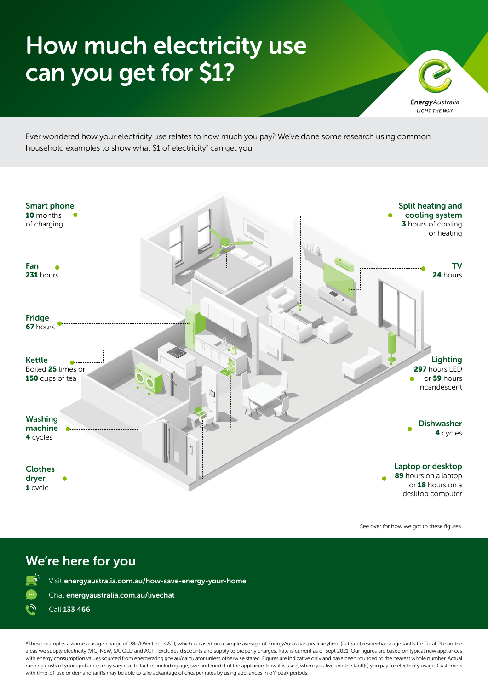## How much electricity use can you get for \$1?



Ever wondered how your electricity use relates to how much you pay? We've done some research using common household examples to show what \$1 of electricity\* can get you.



See over for how we got to these figures.

## We're here for you

Visit [energyaustralia.com.au/how-save-energy-your-home](https://www.energyaustralia.com.au/blog/better-energy/how-save-energy-your-home) 

Chat [energyaustralia.com.au/livechat](https://www.energyaustralia.com.au/livechat)



\*These examples assume a usage charge of 28c/kWh (incl. GST), which is based on a simple average of EnergyAustralia's peak anytime (flat rate) residential usage tariffs for Total Plan in the areas we supply electricity (VIC, NSW, SA, QLD and ACT). Excludes discounts and supply to property charges. Rate is current as of Sept 2021. Our figures are based on typical new appliances with energy consumption values sourced from energyrating.gov.au/calculator unless otherwise stated. Figures are indicative only and have been rounded to the nearest whole number. Actual running costs of your appliances may vary due to factors including age, size and model of the appliance, how it is used, where you live and the tariff(s) you pay for electricity usage. Customers with time-of-use or demand tariffs may be able to take advantage of cheaper rates by using appliances in off-peak periods.